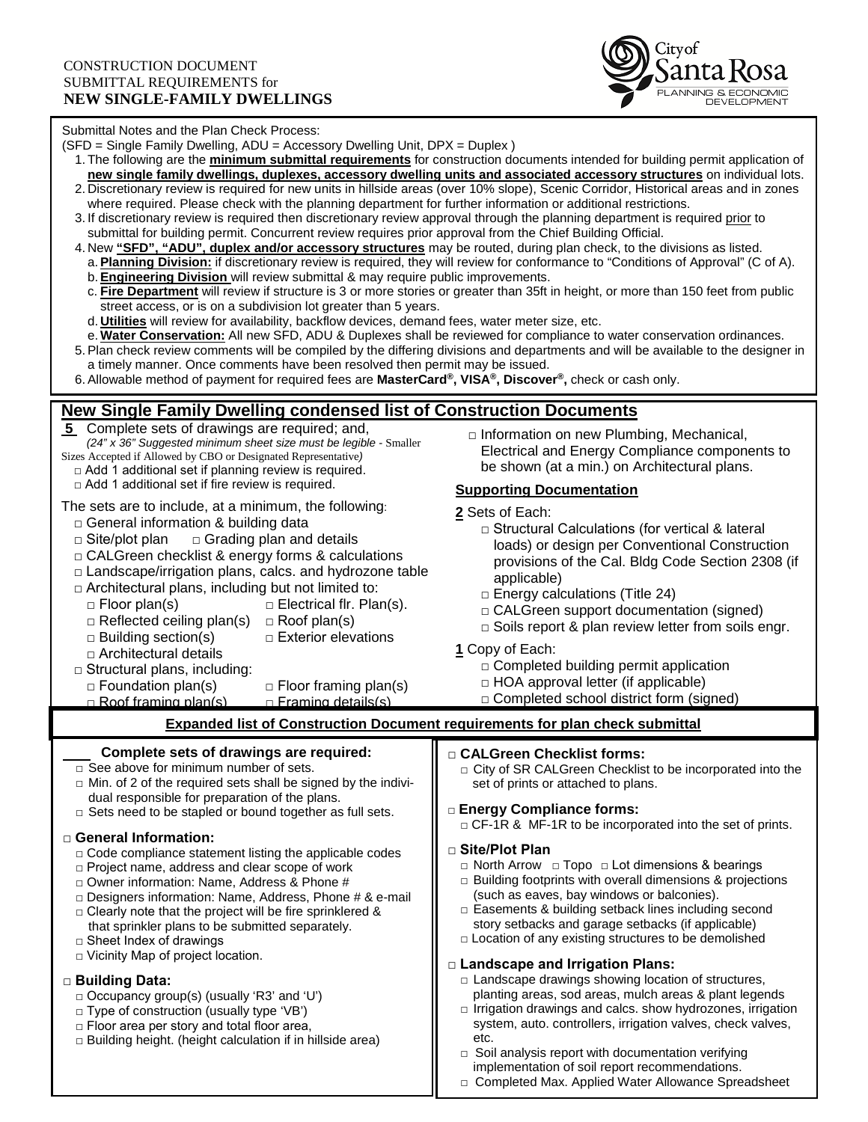

**New Single Family Dwelling condensed list of Construction Documents 5** Complete sets of drawings are required; and, *(24" x 36" Suggested minimum sheet size must be legible -* Smaller Sizes Accepted if Allowed by CBO or Designated Representative*)*  $\Box$  Add 1 additional set if planning review is required. □ Add 1 additional set if fire review is required. The sets are to include, at a minimum, the following:  $\Box$  General information & building data  $\Box$  Site/plot plan  $\Box$  Grading plan and details □ CALGreen checklist & energy forms & calculations  $\Box$  Landscape/irrigation plans, calcs. and hydrozone table  $\Box$  Architectural plans, including but not limited to:  $\Box$  Floor plan(s)  $\Box$  Electrical flr. Plan(s).  $\Box$  Reflected ceiling plan(s)  $\Box$  Roof plan(s)  $\Box$  Building section(s)  $\Box$  Exterior elevations □ Architectural details □ Structural plans, including: □ Foundation plan(s) □ Floor framing plan(s)<br>□ Roof framing plan(s) □ Framing details(s) □ Roof framing plan(s)  **Expanded list of Construction Document requirements for plan check submittal** □ Information on new Plumbing, Mechanical, Electrical and Energy Compliance components to be shown (at a min.) on Architectural plans. **Supporting Documentation 2** Sets of Each: □ Structural Calculations (for vertical & lateral loads) or design per Conventional Construction provisions of the Cal. Bldg Code Section 2308 (if applicable)  $\Box$  Energy calculations (Title 24) □ CALGreen support documentation (signed) □ Soils report & plan review letter from soils engr. **1** Copy of Each:  $\Box$  Completed building permit application  $\Box$  HOA approval letter (if applicable) □ Completed school district form (signed)  **Complete sets of drawings are required:** □ See above for minimum number of sets.  $\Box$  Min. of 2 of the required sets shall be signed by the individual responsible for preparation of the plans. □ Sets need to be stapled or bound together as full sets. □ **General Information:**  $\Box$  Code compliance statement listing the applicable codes □ Project name, address and clear scope of work □ Owner information: Name, Address & Phone # □ Designers information: Name, Address, Phone # & e-mail  $\Box$  Clearly note that the project will be fire sprinklered & that sprinkler plans to be submitted separately. □ Sheet Index of drawings □ Vicinity Map of project location. **□ Building Data:** □ Occupancy group(s) (usually 'R3' and 'U') □ Type of construction (usually type 'VB') □ Floor area per story and total floor area,  $\Box$  Building height. (height calculation if in hillside area) Submittal Notes and the Plan Check Process: (SFD = Single Family Dwelling, ADU = Accessory Dwelling Unit, DPX = Duplex ) 1. The following are the **minimum submittal requirements** for construction documents intended for building permit application of **new single family dwellings, duplexes, accessory dwelling units and associated accessory structures** on individual lots. 2. Discretionary review is required for new units in hillside areas (over 10% slope), Scenic Corridor, Historical areas and in zones where required. Please check with the planning department for further information or additional restrictions. 3. If discretionary review is required then discretionary review approval through the planning department is required prior to submittal for building permit. Concurrent review requires prior approval from the Chief Building Official. 4. New **"SFD", "ADU", duplex and/or accessory structures** may be routed, during plan check, to the divisions as listed. a.**Planning Division:** if discretionary review is required, they will review for conformance to "Conditions of Approval" (C of A). b.**Engineering Division** will review submittal & may require public improvements. c. **Fire Department** will review if structure is 3 or more stories or greater than 35ft in height, or more than 150 feet from public street access, or is on a subdivision lot greater than 5 years. d. **Utilities** will review for availability, backflow devices, demand fees, water meter size, etc. e. **Water Conservation:** All new SFD, ADU & Duplexes shall be reviewed for compliance to water conservation ordinances. 5.Plan check review comments will be compiled by the differing divisions and departments and will be available to the designer in a timely manner. Once comments have been resolved then permit may be issued. 6.Allowable method of payment for required fees are **MasterCard®, VISA®, Discover®,** check or cash only. **□ CALGreen Checklist forms:** □ City of SR CALGreen Checklist to be incorporated into the set of prints or attached to plans. **□ Energy Compliance forms:** □ CF-1R & MF-1R to be incorporated into the set of prints. **□ Site/Plot Plan** □ North Arrow □ Topo □ Lot dimensions & bearings  $\square$  Building footprints with overall dimensions & projections (such as eaves, bay windows or balconies). □ Easements & building setback lines including second story setbacks and garage setbacks (if applicable)  $\Box$  Location of any existing structures to be demolished **□ Landscape and Irrigation Plans:**  $\Box$  Landscape drawings showing location of structures, planting areas, sod areas, mulch areas & plant legends  $\Box$  Irrigation drawings and calcs. show hydrozones, irrigation system, auto. controllers, irrigation valves, check valves, etc. □ Soil analysis report with documentation verifying implementation of soil report recommendations. □ Completed Max. Applied Water Allowance Spreadsheet